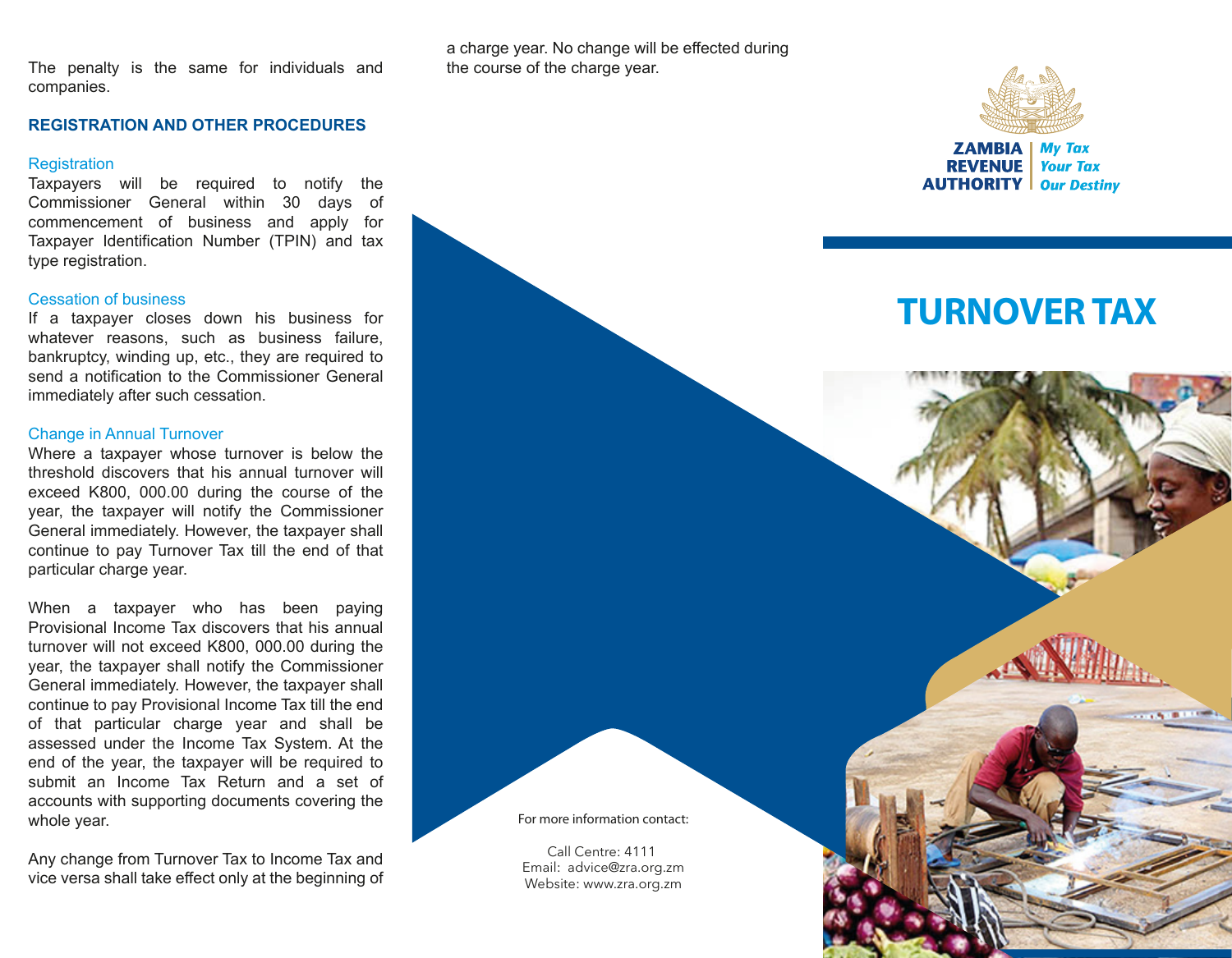The penalty is the same for individuals and companies.

#### **REGISTRATION AND OTHER PROCEDURES**

#### **Registration**

Taxpayers will be required to notify the Commissioner General within 30 days of commencement of business and apply for Taxpayer Identification Number (TPIN) and tax type registration.

#### Cessation of business

If a taxpayer closes down his business for whatever reasons, such as business failure, bankruptcy, winding up, etc., they are required to send a notification to the Commissioner General immediately after such cessation.

#### Change in Annual Turnover

Where a taxpayer whose turnover is below the threshold discovers that his annual turnover will exceed K800, 000.00 during the course of the year, the taxpayer will notify the Commissioner General immediately. However, the taxpayer shall continue to pay Turnover Tax till the end of that particular charge year.

When a taxpayer who has been paying Provisional Income Tax discovers that his annual turnover will not exceed K800, 000.00 during the year, the taxpayer shall notify the Commissioner General immediately. However, the taxpayer shall continue to pay Provisional Income Tax till the end of that particular charge year and shall be assessed under the Income Tax System. At the end of the year, the taxpayer will be required to submit an Income Tax Return and a set of accounts with supporting documents covering the whole year.

Any change from Turnover Tax to Income Tax and vice versa shall take effect only at the beginning of a charge year. No change will be effected during the course of the charge year.



**ZAMBIA | My Tax REVENUE Your Tax AUTHORITY** | Our Destiny

# **TURNOVER TAX**

**For more information contact:**

Call Centre: 4111 Email: advice@zra.org.zm Website: www.zra.org.zm